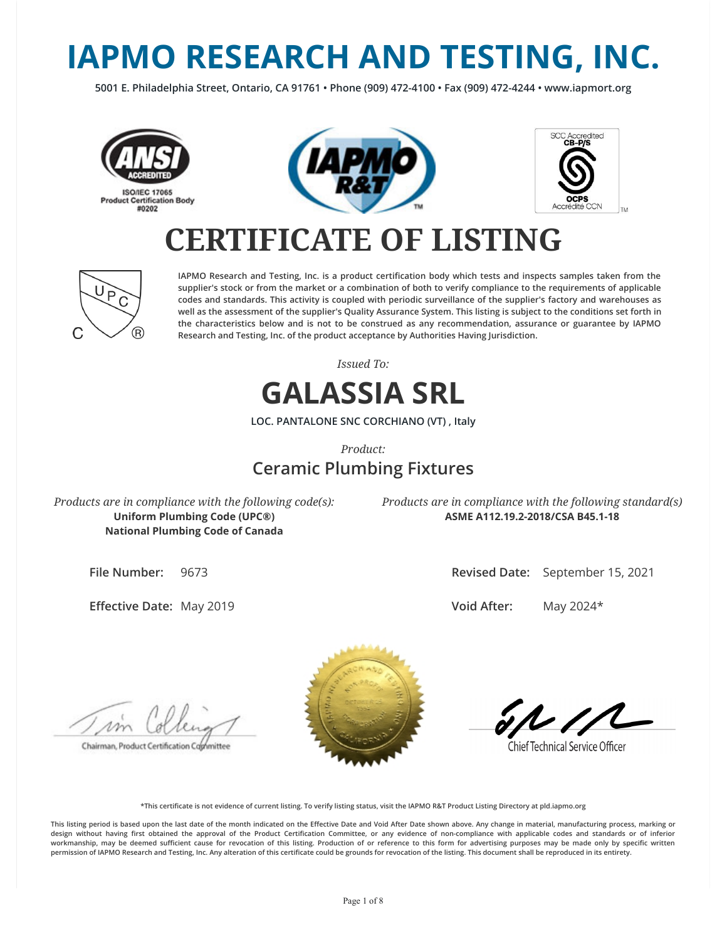# **IAPMO RESEARCH AND TESTING, INC.**

**5001 E. Philadelphia Street, Ontario, CA 91761 • Phone (909) 472-4100 • Fax (909) 472-4244 • www.iapmort.org**







## **CERTIFICATE OF LISTING**



**IAPMO Research and Testing, Inc. is a product certication body which tests and inspects samples taken from the supplier's stock or from the market or a combination of both to verify compliance to the requirements of applicable codes and standards. This activity is coupled with periodic surveillance of the supplier's factory and warehouses as well as the assessment of the supplier's Quality Assurance System. This listing is subject to the conditions set forth in the characteristics below and is not to be construed as any recommendation, assurance or guarantee by IAPMO Research and Testing, Inc. of the product acceptance by Authorities Having Jurisdiction.**

*Issued To:*

## **GALASSIA SRL**

**LOC. PANTALONE SNC CORCHIANO (VT) , Italy**

*Product:*

## **Ceramic Plumbing Fixtures**

*Products are in compliance with the following code(s):* **Uniform Plumbing Code (UPC®) National Plumbing Code of Canada**

*Products are in compliance with the following standard(s)* **ASME A112.19.2-2018/CSA B45.1-18**

**File Number:** 9673

**Effective Date: May 2019** 

**Revised Date:** September 15, 2021

**Void After:** May 2024\*

Chairman, Product Certification Cophmittee



**Chief Technical Service Officer** 

**\*This certicate is not evidence of current listing. To verify listing status, visit the IAPMO R&T Product Listing Directory at pld.iapmo.org**

This listing period is based upon the last date of the month indicated on the Effective Date and Void After Date shown above. Any change in material, manufacturing process, marking or design without having first obtained the approval of the Product Certification Committee, or any evidence of non-compliance with applicable codes and standards or of inferior workmanship, may be deemed sufficient cause for revocation of this listing. Production of or reference to this form for advertising purposes may be made only by specific written **permission of IAPMO Research and Testing, Inc. Any alteration of this certicate could be grounds for revocation of the listing. This document shall be reproduced in its entirety.**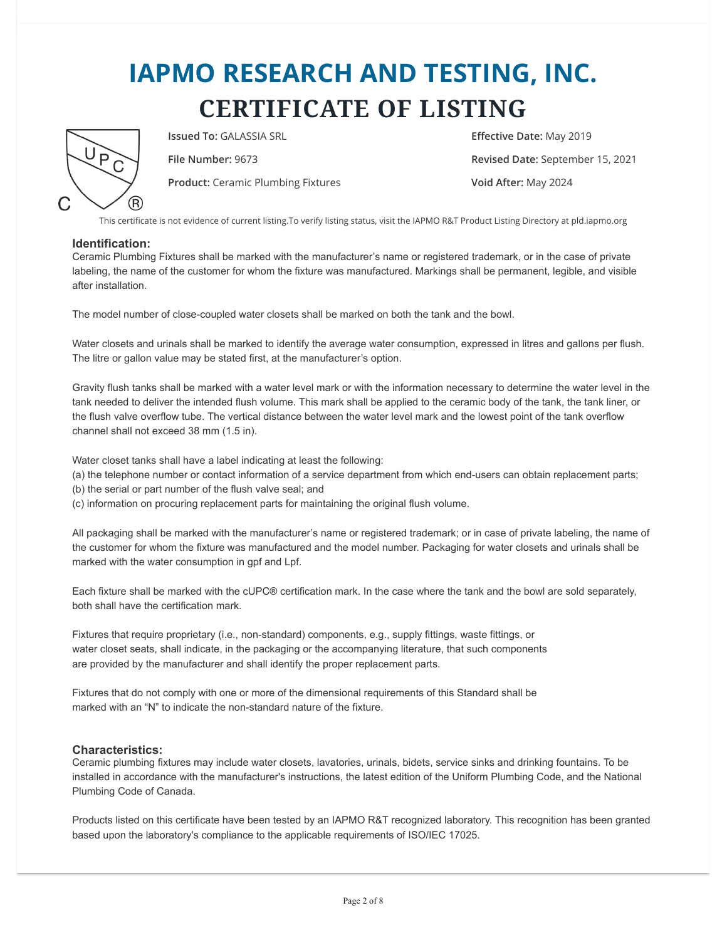## **IAPMO RESEARCH AND TESTING, INC. CERTIFICATE OF LISTING**



**Issued To:** GALASSIA SRL **Effective Date:** May 2019

**Product:** Ceramic Plumbing Fixtures **Void After:** May 2024

**File Number:** 9673 **Revised Date:** September 15, 2021

This certificate is not evidence of current listing.To verify listing status, visit the IAPMO R&T Product Listing Directory at pld.iapmo.org

### **Identification:**

Ceramic Plumbing Fixtures shall be marked with the manufacturer's name or registered trademark, or in the case of private labeling, the name of the customer for whom the fixture was manufactured. Markings shall be permanent, legible, and visible after installation.

The model number of close-coupled water closets shall be marked on both the tank and the bowl.

Water closets and urinals shall be marked to identify the average water consumption, expressed in litres and gallons per flush. The litre or gallon value may be stated first, at the manufacturer's option.

Gravity flush tanks shall be marked with a water level mark or with the information necessary to determine the water level in the tank needed to deliver the intended flush volume. This mark shall be applied to the ceramic body of the tank, the tank liner, or the flush valve overflow tube. The vertical distance between the water level mark and the lowest point of the tank overflow channel shall not exceed 38 mm (1.5 in).

Water closet tanks shall have a label indicating at least the following:

- (a) the telephone number or contact information of a service department from which end-users can obtain replacement parts;
- (b) the serial or part number of the flush valve seal; and
- (c) information on procuring replacement parts for maintaining the original flush volume.

All packaging shall be marked with the manufacturer's name or registered trademark; or in case of private labeling, the name of the customer for whom the fixture was manufactured and the model number. Packaging for water closets and urinals shall be marked with the water consumption in gpf and Lpf.

Each fixture shall be marked with the cUPC® certification mark. In the case where the tank and the bowl are sold separately, both shall have the certification mark.

Fixtures that require proprietary (i.e., non-standard) components, e.g., supply fittings, waste fittings, or water closet seats, shall indicate, in the packaging or the accompanying literature, that such components are provided by the manufacturer and shall identify the proper replacement parts.

Fixtures that do not comply with one or more of the dimensional requirements of this Standard shall be marked with an "N" to indicate the non-standard nature of the fixture.

#### **Characteristics:**

Ceramic plumbing fixtures may include water closets, lavatories, urinals, bidets, service sinks and drinking fountains. To be installed in accordance with the manufacturer's instructions, the latest edition of the Uniform Plumbing Code, and the National Plumbing Code of Canada.

Products listed on this certificate have been tested by an IAPMO R&T recognized laboratory. This recognition has been granted based upon the laboratory's compliance to the applicable requirements of ISO/IEC 17025.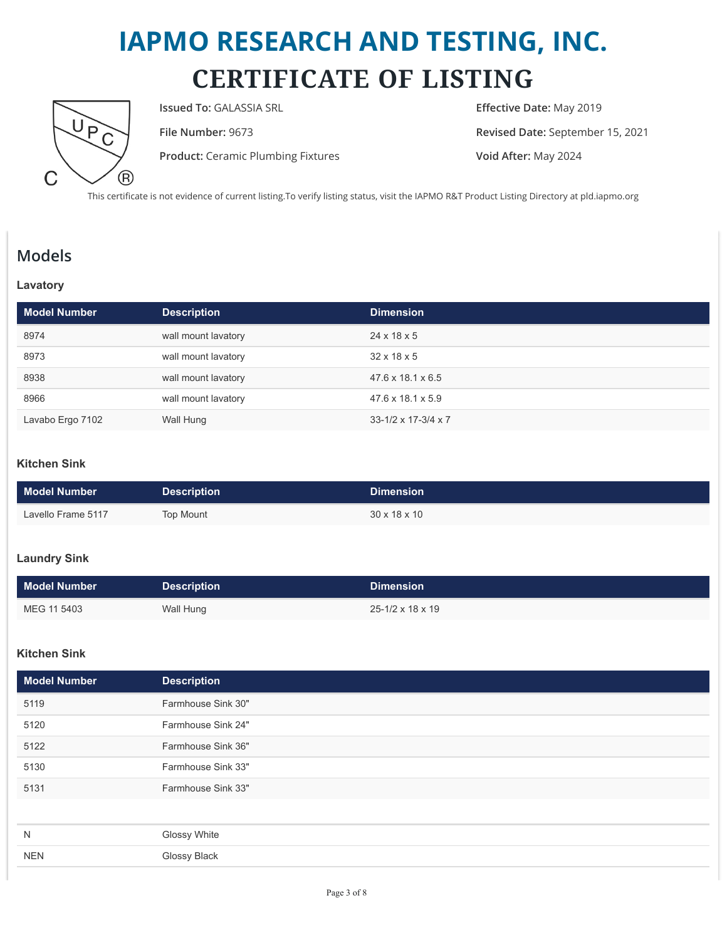## **IAPMO RESEARCH AND TESTING, INC. CERTIFICATE OF LISTING**



**Issued To:** GALASSIA SRL **Effective Date:** May 2019

**Product:** Ceramic Plumbing Fixtures **Void After:** May 2024

**File Number:** 9673 **Revised Date:** September 15, 2021

This certificate is not evidence of current listing.To verify listing status, visit the IAPMO R&T Product Listing Directory at pld.iapmo.org

## **Models**

### **Lavatory**

| <b>Model Number</b> | <b>Description</b>  | <b>Dimension</b>                    |
|---------------------|---------------------|-------------------------------------|
| 8974                | wall mount lavatory | $24 \times 18 \times 5$             |
| 8973                | wall mount lavatory | $32 \times 18 \times 5$             |
| 8938                | wall mount lavatory | 47.6 x 18.1 x 6.5                   |
| 8966                | wall mount lavatory | $47.6 \times 18.1 \times 5.9$       |
| Lavabo Ergo 7102    | Wall Hung           | $33 - 1/2 \times 17 - 3/4 \times 7$ |

## **Kitchen Sink**

| Model Number       | <b>Description</b> | <b>Dimension</b>         |
|--------------------|--------------------|--------------------------|
| Lavello Frame 5117 | Top Mount          | $30 \times 18 \times 10$ |

### **Laundry Sink**

| <b>Model Number</b> | <b>Description</b> | <b>Dimension</b>               |
|---------------------|--------------------|--------------------------------|
| MEG 11 5403         | Wall Hung          | $25 - 1/2 \times 18 \times 19$ |

### **Kitchen Sink**

| <b>Model Number</b> | <b>Description</b> |
|---------------------|--------------------|
| 5119                | Farmhouse Sink 30" |
| 5120                | Farmhouse Sink 24" |
| 5122                | Farmhouse Sink 36" |
| 5130                | Farmhouse Sink 33" |
| 5131                | Farmhouse Sink 33" |
|                     |                    |
| N                   | Glossy White       |
| <b>NEN</b>          | Glossy Black       |